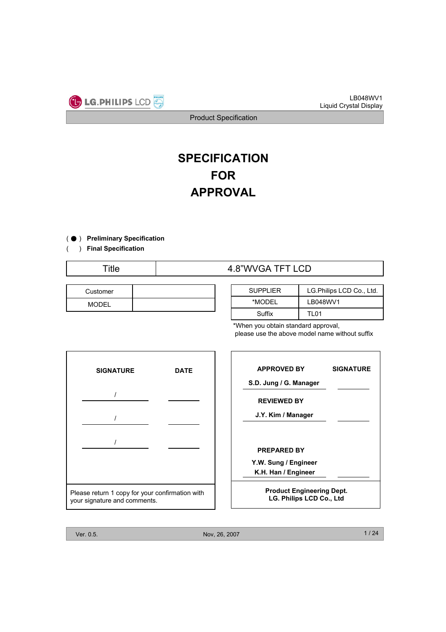

# **SPECIFICATION FOR APPROVAL**

) ( ̻ **Preliminary Specification**

) **Final Specification** (

## Title 1.8"WVGA TFT LCD

| Customer |  |
|----------|--|
| MODEL    |  |

| <b>SUPPLIER</b> | LG. Philips LCD Co., Ltd. |  |  |  |  |  |  |  |
|-----------------|---------------------------|--|--|--|--|--|--|--|
| *MODEL          | LB048WV1                  |  |  |  |  |  |  |  |
| Suffix          | TI 01                     |  |  |  |  |  |  |  |

\*When you obtain standard approval, please use the above model name without suffix



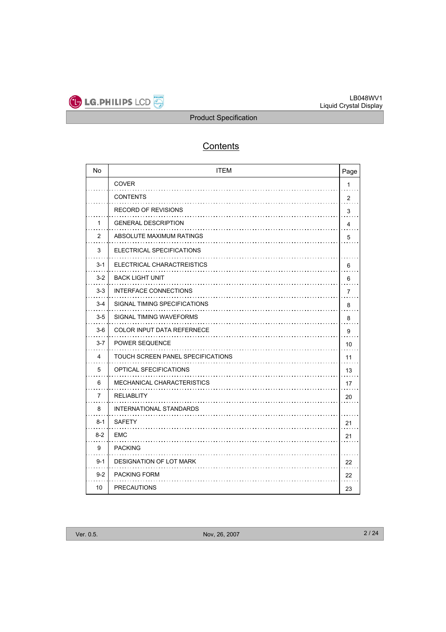

## **Contents**

| No             | <b>ITEM</b>                       | Page           |
|----------------|-----------------------------------|----------------|
|                | <b>COVER</b>                      | $\mathbf{1}$   |
|                | <b>CONTENTS</b>                   | $\overline{2}$ |
|                | <b>RECORD OF REVISIONS</b>        | 3              |
| 1              | <b>GENERAL DESCRIPTION</b>        | 4              |
| 2              | ABSOLUTE MAXIMUM RATINGS          | 5              |
| 3              | ELECTRICAL SPECIFICATIONS         |                |
| $3 - 1$        | ELECTRICAL CHARACTREISTICS        | 6              |
| $3-2$          | <b>BACK LIGHT UNIT</b>            | 6              |
| $3 - 3$        | <b>INTERFACE CONNECTIONS</b>      | $\overline{7}$ |
| $3 - 4$        | SIGNAL TIMING SPECIFICATIONS      | 8              |
| $3-5$          | SIGNAL TIMING WAVEFORMS           | 8              |
| $3-6$          | <b>COLOR INPUT DATA REFERNECE</b> | 9              |
| $3 - 7$        | <b>POWER SEQUENCE</b>             | 10             |
| 4              | TOUCH SCREEN PANEL SPECIFICATIONS | 11             |
| 5              | OPTICAL SFECIFICATIONS            | 13             |
| 6              | MECHANICAL CHARACTERISTICS        | 17             |
| $\overline{7}$ | <b>RELIABLITY</b>                 | 20             |
| 8              | <b>INTERNATIONAL STANDARDS</b>    |                |
| $8 - 1$        | <b>SAFETY</b>                     | 21             |
| $8-2$          | EMC                               | 21             |
| 9              | <b>PACKING</b>                    |                |
| $9 - 1$        | DESIGNATION OF LOT MARK           | 22             |
| $9 - 2$        | <b>PACKING FORM</b>               | 22             |
| 10             | <b>PRECAUTIONS</b>                | 23             |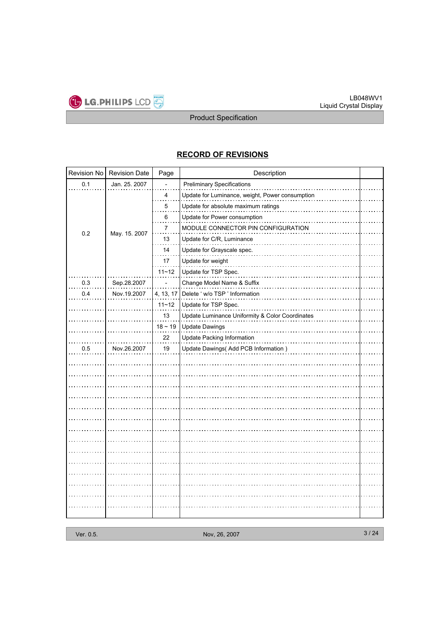

## **RECORD OF REVISIONS**

| Revision No | <b>Revision Date</b> | Page                                                                | Description                                     |  |  |  |  |
|-------------|----------------------|---------------------------------------------------------------------|-------------------------------------------------|--|--|--|--|
| 0.1         | Jan. 25. 2007        |                                                                     | <b>Preliminary Specifications</b>               |  |  |  |  |
|             |                      | 4                                                                   | Update for Luminance, weight, Power consumption |  |  |  |  |
|             |                      | 5                                                                   | Update for absolute maximum ratings             |  |  |  |  |
|             |                      | 6                                                                   | Update for Power consumption                    |  |  |  |  |
| 0.2         | May. 15. 2007        | 7                                                                   | MODULE CONNECTOR PIN CONFIGURATION              |  |  |  |  |
|             |                      | 13<br>Update for C/R, Luminance<br>Update for Grayscale spec.<br>14 |                                                 |  |  |  |  |
|             |                      |                                                                     |                                                 |  |  |  |  |
|             |                      | 17                                                                  | Update for weight                               |  |  |  |  |
|             |                      | $11 - 12$                                                           | Update for TSP Spec.                            |  |  |  |  |
| 0.3         | Sep.28.2007          |                                                                     | Change Model Name & Suffix                      |  |  |  |  |
| 0.4         | Nov.19.2007          | 4, 13, 17                                                           | Delete ' w/o TSP ' Information                  |  |  |  |  |
|             |                      | $11 - 12$                                                           | Update for TSP Spec.                            |  |  |  |  |
|             |                      | 13                                                                  | Update Luminance Uniformity & Color Coordinates |  |  |  |  |
|             |                      | $18 \sim 19$                                                        | <b>Update Dawings</b>                           |  |  |  |  |
|             |                      | 22                                                                  | Update Packing Information                      |  |  |  |  |
| 0.5         | Nov.26.2007          | 19                                                                  | Update Dawings(Add PCB Information)             |  |  |  |  |
|             |                      |                                                                     |                                                 |  |  |  |  |
|             |                      |                                                                     |                                                 |  |  |  |  |
|             |                      |                                                                     |                                                 |  |  |  |  |
|             |                      |                                                                     |                                                 |  |  |  |  |
|             |                      |                                                                     |                                                 |  |  |  |  |
|             |                      |                                                                     |                                                 |  |  |  |  |
|             |                      |                                                                     |                                                 |  |  |  |  |
|             |                      |                                                                     |                                                 |  |  |  |  |
|             |                      |                                                                     |                                                 |  |  |  |  |
|             |                      |                                                                     |                                                 |  |  |  |  |
|             |                      |                                                                     |                                                 |  |  |  |  |
|             |                      |                                                                     |                                                 |  |  |  |  |
|             |                      |                                                                     |                                                 |  |  |  |  |
|             |                      |                                                                     |                                                 |  |  |  |  |
|             |                      |                                                                     |                                                 |  |  |  |  |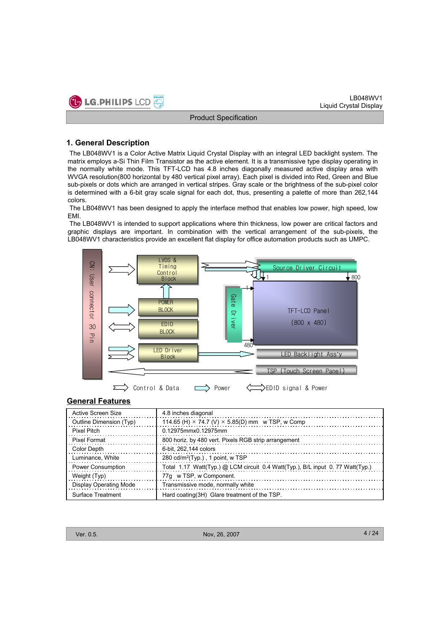

## **1. General Description**

The LB048WV1 is a Color Active Matrix Liquid Crystal Display with an integral LED backlight system. The matrix employs a-Si Thin Film Transistor as the active element. It is a transmissive type display operating in the normally white mode. This TFT-LCD has 4.8 inches diagonally measured active display area with WVGA resolution(800 horizontal by 480 vertical pixel array). Each pixel is divided into Red, Green and Blue sub-pixels or dots which are arranged in vertical stripes. Gray scale or the brightness of the sub-pixel color is determined with a 6-bit gray scale signal for each dot, thus, presenting a palette of more than 262,144 colors.

The LB048WV1 has been designed to apply the interface method that enables low power, high speed, low EMI.

The LB048WV1 is intended to support applications where thin thickness, low power are critical factors and graphic displays are important. In combination with the vertical arrangement of the sub-pixels, the LB048WV1 characteristics provide an excellent flat display for office automation products such as UMPC.



## **General Features**

| Active Screen Size       | 4.8 inches diagonal                                                           |
|--------------------------|-------------------------------------------------------------------------------|
| Outline Dimension (Typ)  | 114.65 (H) $\times$ 74.7 (V) $\times$ 5.85(D) mm w TSP, w Comp                |
| <b>Pixel Pitch</b>       | 0.12975mmx0.12975mm                                                           |
| <b>Pixel Format</b>      | 800 horiz. by 480 vert. Pixels RGB strip arrangement                          |
| Color Depth              | 6-bit, 262,144 colors                                                         |
| Luminance, White         | 280 cd/m <sup>2</sup> (Typ.), 1 point, w TSP                                  |
| <b>Power Consumption</b> | Total 1.17 Watt(Typ.) @ LCM circuit 0.4 Watt(Typ.), B/L input 0.77 Watt(Typ.) |
| Weight (Typ)             | 77g w TSP, w Component.                                                       |
| Display Operating Mode   | Transmissive mode, normally white                                             |
| Surface Treatment        | Hard coating (3H) Glare treatment of the TSP.                                 |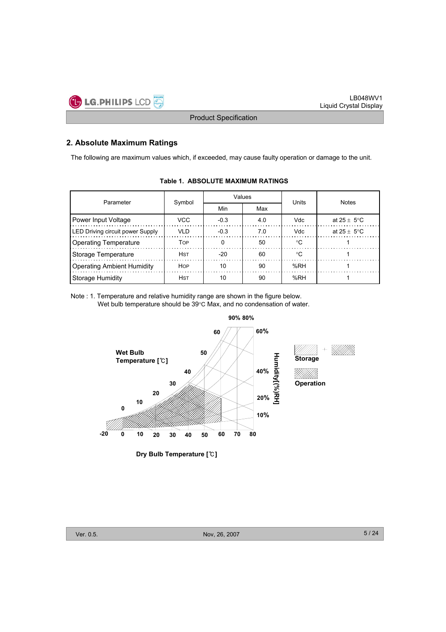

## **2. Absolute Maximum Ratings**

The following are maximum values which, if exceeded, may cause faulty operation or damage to the unit.

| Parameter                               | Symbol                  | Values |     | Units      | <b>Notes</b>            |  |  |
|-----------------------------------------|-------------------------|--------|-----|------------|-------------------------|--|--|
|                                         |                         | Min    | Max |            |                         |  |  |
| Power Input Voltage                     | <b>VCC</b>              | $-0.3$ | 4.0 | <b>Vdc</b> | at $25 + 5^{\circ}$ C   |  |  |
| <b>LED Driving circuit power Supply</b> | <b>VLD</b>              | $-0.3$ | 7.0 | Vdc        | at $25 \pm 5^{\circ}$ C |  |  |
| <b>Operating Temperature</b>            | <b>T</b> <sub>O</sub> P |        | 50  | ∘C         |                         |  |  |
| Storage Temperature                     | <b>HST</b>              | $-20$  | 60  | ℃          |                         |  |  |
| <b>Operating Ambient Humidity</b>       | <b>HOP</b>              | 10     | 90  | %RH        |                         |  |  |
| Storage Humidity                        | <b>H</b> st             | 10     | 90  | %RH        |                         |  |  |

## **Table 1. ABSOLUTE MAXIMUM RATINGS**

Note : 1. Temperature and relative humidity range are shown in the figure below. Wet bulb temperature should be 39°C Max, and no condensation of water.



**Dry Bulb Temperature []**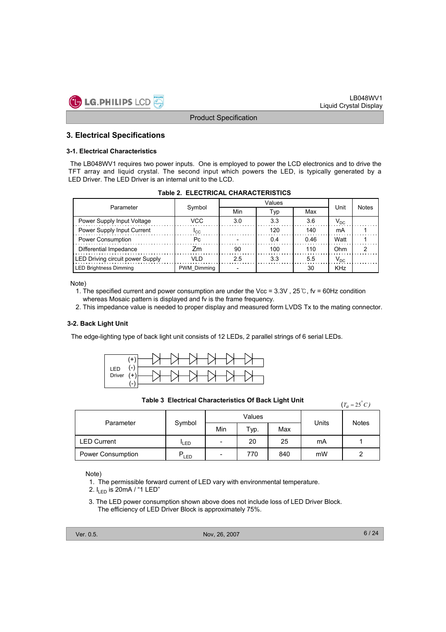

## **3. Electrical Specifications**

#### **3-1. Electrical Characteristics**

The LB048WV1 requires two power inputs. One is employed to power the LCD electronics and to drive the TFT array and liquid crystal. The second input which powers the LED, is typically generated by a LED Driver. The LED Driver is an internal unit to the LCD.

| Parameter                               |                    |     | Unit | <b>Notes</b> |          |  |
|-----------------------------------------|--------------------|-----|------|--------------|----------|--|
|                                         | Symbol             | Min | Typ  | Max          |          |  |
| Power Supply Input Voltage              | VCC                | 3.0 | 3.3  | 3.6          | $V_{DC}$ |  |
| Power Supply Input Current              | <b>ICC</b>         |     | 120  | 140          | mА       |  |
| <b>Power Consumption</b>                | Pc.                |     | 0.4  | 046          | Watt     |  |
| Differential Impedance                  | 7m                 | 90  | 100  | 110          | 0hm      |  |
| <b>LED Driving circuit power Supply</b> | ח וע               | 25  | 3.3  | 5.5          | $V_{DC}$ |  |
| LED Brightness Dimming                  | <b>PWM Dimming</b> |     |      | 30           | KHz      |  |

#### **Table 2. ELECTRICAL CHARACTERISTICS**

Note)

- 1. The specified current and power consumption are under the Vcc =  $3.3V$ ,  $25^\circ$ C, fv = 60Hz condition whereas Mosaic pattern is displayed and fv is the frame frequency.
- 2. This impedance value is needed to proper display and measured form LVDS Tx to the mating connector.

#### **3-2. Back Light Unit**

The edge-lighting type of back light unit consists of 12 LEDs, 2 parallel strings of 6 serial LEDs.



**Table 3 Electrical Characteristics Of Back Light Unit**

 $(T_a = 25^\circ C)$ 

| Parameter          |                  |                          | Values | Units | <b>Notes</b> |   |  |
|--------------------|------------------|--------------------------|--------|-------|--------------|---|--|
|                    | Symbol           | Min                      | Typ.   | Max   |              |   |  |
| <b>LED Current</b> | <sup>I</sup> LED | $\overline{\phantom{a}}$ | 20     | 25    | mA           |   |  |
| Power Consumption  | LED              | $\overline{\phantom{0}}$ | 770    | 840   | mW           | 2 |  |

Note)

- 1. The permissible forward current of LED vary with environmental temperature.
- 2.  $I_{\text{LED}}$  is 20mA / "1 LED"
- 3. The LED power consumption shown above does not include loss of LED Driver Block. The efficiency of LED Driver Block is approximately 75%.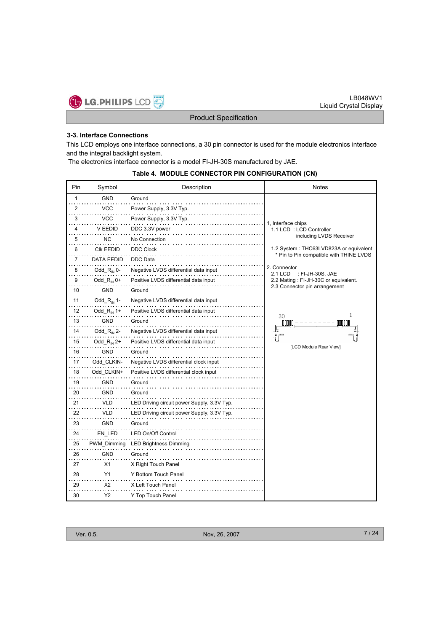

## **3-3. Interface Connections**

This LCD employs one interface connections, a 30 pin connector is used for the module electronics interface and the integral backlight system.

The electronics interface connector is a model FI-JH-30S manufactured by JAE.

#### **Table 4. MODULE CONNECTOR PIN CONFIGURATION (CN)**

| Pin          | Symbol                                     | Description                                 | <b>Notes</b>                                   |
|--------------|--------------------------------------------|---------------------------------------------|------------------------------------------------|
| $\mathbf{1}$ | <b>GND</b>                                 | Ground                                      |                                                |
| 2            | vcc                                        | Power Supply, 3.3V Typ.                     |                                                |
| 3            | <b>VCC</b>                                 | Power Supply, 3.3V Typ.                     |                                                |
| 4            | V EEDID                                    | DDC 3.3V power                              | 1, Interface chips<br>1.1 LCD : LCD Controller |
| 5            | ΝC                                         | No Connection                               | including LVDS Receiver                        |
| 6            | <b>CIK EEDID</b>                           | <b>DDC Clock</b>                            | 1.2 System: THC63LVD823A or equivalent         |
| 7            | DATA EEDID                                 | DDC Data                                    | * Pin to Pin compatible with THINE LVDS        |
| 8            | $Odd_R_{\scriptscriptstyle{\text{IN}}}$ 0- | Negative LVDS differential data input       | 2. Connector<br>2.1 LCD<br>: FI-JH-30S, JAE    |
| 9            | Odd_ $R_{\text{IN}}$ 0+                    | Positive LVDS differential data input       | 2.2 Mating : FI-JH-30C or equivalent.          |
| 10           | <b>GND</b>                                 | Ground                                      | 2.3 Connector pin arrangement                  |
| 11           | $Odd_R_{\scriptscriptstyle{\text{IN}}}$ 1- | Negative LVDS differential data input       |                                                |
| 12           | Odd_ $R_{IN}$ 1+                           | Positive LVDS differential data input       | 30<br>1                                        |
| 13           | GND                                        | Ground                                      | nnnni                                          |
| 14           | Odd_ $R_{IN}$ 2-                           | Negative LVDS differential data input       |                                                |
| 15           | Odd_ $R_{\text{IN}}$ 2+                    | Positive LVDS differential data input       | [LCD Module Rear View]                         |
| 16           | GND                                        | Ground                                      |                                                |
| 17           | Odd_CLKIN-                                 | Negative LVDS differential clock input      |                                                |
| 18           | Odd CLKIN+                                 | Positive LVDS differential clock input      |                                                |
| 19           | GND                                        | Ground                                      |                                                |
| 20           | <b>GND</b>                                 | Ground                                      |                                                |
| 21           | VLD                                        | LED Driving circuit power Supply, 3.3V Typ. |                                                |
| 22           | VLD                                        | LED Driving circuit power Supply, 3.3V Typ. |                                                |
| 23           | <b>GND</b>                                 | Ground                                      |                                                |
| 24           | EN_LED                                     | LED On/Off Control                          |                                                |
| 25           | PWM Dimming                                | LED Brightness Dimming                      |                                                |
| 26           | <b>GND</b>                                 | Ground                                      |                                                |
| 27           | X1                                         | X Right Touch Panel                         |                                                |
| 28           | Y1                                         | Y Bottom Touch Panel                        |                                                |
| 29           | X <sub>2</sub>                             | X Left Touch Panel                          |                                                |
| 30           | Υ2                                         | Y Top Touch Panel                           |                                                |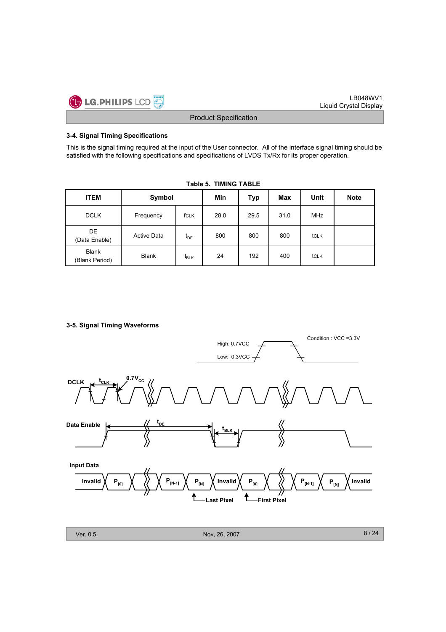

## **3-4. Signal Timing Specifications**

This is the signal timing required at the input of the User connector. All of the interface signal timing should be satisfied with the following specifications and specifications of LVDS Tx/Rx for its proper operation.

| <b>ITEM</b>                                    | Symbol             | Min          | Typ | Max  | Unit | <b>Note</b> |  |
|------------------------------------------------|--------------------|--------------|-----|------|------|-------------|--|
| <b>DCLK</b>                                    | Frequency          | 28.0<br>fCLK |     | 29.5 | 31.0 | <b>MHz</b>  |  |
| DE<br>(Data Enable)                            | <b>Active Data</b> | $t_{DE}$     | 800 | 800  | 800  | tclk        |  |
| <b>Blank</b><br><b>Blank</b><br>(Blank Period) |                    | $t_{BLK}$    | 24  | 192  | 400  | tclk        |  |

**Table 5. TIMING TABLE**

## **3-5. Signal Timing Waveforms**

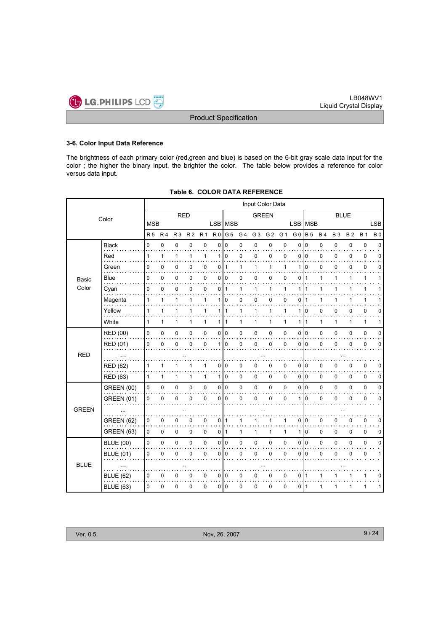

#### **3-6. Color Input Data Reference**

The brightness of each primary color (red,green and blue) is based on the 6-bit gray scale data input for the color ; the higher the binary input, the brighter the color. The table below provides a reference for color versus data input.

|                 |                                                                                                                                                                                                             | Input Color Data         |                                                  |                |                      |                       |              |                                                                                                                              |                        |                                 |                  |                |                |                                 |                |           |              |             |
|-----------------|-------------------------------------------------------------------------------------------------------------------------------------------------------------------------------------------------------------|--------------------------|--------------------------------------------------|----------------|----------------------|-----------------------|--------------|------------------------------------------------------------------------------------------------------------------------------|------------------------|---------------------------------|------------------|----------------|----------------|---------------------------------|----------------|-----------|--------------|-------------|
|                 |                                                                                                                                                                                                             |                          |                                                  |                |                      |                       | <b>GREEN</b> |                                                                                                                              |                        |                                 |                  |                | <b>BLUE</b>    |                                 |                |           |              |             |
|                 |                                                                                                                                                                                                             |                          |                                                  |                |                      |                       |              |                                                                                                                              |                        |                                 |                  |                |                |                                 |                |           |              | <b>LSB</b>  |
|                 |                                                                                                                                                                                                             | R <sub>4</sub>           | <b>R3</b>                                        | R <sub>2</sub> | R <sub>1</sub>       |                       | G 5          | G <sub>4</sub>                                                                                                               | G <sub>3</sub>         | G <sub>2</sub>                  | G 1              | G <sub>0</sub> |                | <b>B4</b>                       | <b>B3</b>      | <b>B2</b> | <b>B</b> 1   | <b>B0</b>   |
| <b>Black</b>    | 0                                                                                                                                                                                                           | $\mathbf 0$              | 0                                                | $\mathbf 0$    | $\mathbf 0$          | 0                     | $\mathbf 0$  | 0                                                                                                                            | 0                      | 0                               | 0                | 0              | $\mathbf 0$    | 0                               | 0              | 0         | $\pmb{0}$    | $\mathbf 0$ |
| Red<br>.        | 1                                                                                                                                                                                                           | $\mathbf{1}$             | 1                                                | 1              | $\mathbf{1}$         | 1                     | 0            | 0                                                                                                                            | 0                      | 0                               | 0                | $\Omega$       | $\mathbf 0$    | $\mathbf 0$                     | 0              | 0         | $\pmb{0}$    | $\mathbf 0$ |
| Green           | 0                                                                                                                                                                                                           | 0                        | 0                                                | 0              | 0                    | 0                     | 1            | 1                                                                                                                            | 1                      | 1                               | 1                | 1              | $\Omega$       | 0                               | 0              | 0         | $\mathbf 0$  | $\Omega$    |
| <b>Blue</b>     | 0                                                                                                                                                                                                           | 0                        | 0                                                | 0              | $\mathbf 0$          |                       |              | 0                                                                                                                            | 0                      | 0                               | 0                | 0              | $\overline{1}$ | 1                               | 1              | 1         | $\mathbf{1}$ | 1           |
| Cyan            | 0                                                                                                                                                                                                           | 0                        | 0                                                | 0              | 0                    | 0                     |              | 1                                                                                                                            | $\mathbf{1}$           | 1                               | 1                |                |                | 1                               | 1              |           | $\mathbf{1}$ |             |
| Magenta         | 1                                                                                                                                                                                                           | 1                        | 1                                                | 1              | 1                    | 1                     | 0            | 0                                                                                                                            | 0                      | 0                               | 0                | 0              | $\overline{1}$ | 1                               | 1              | 1         | 1            | 1           |
| Yellow          | 1                                                                                                                                                                                                           | 1                        | 1                                                | 1              | 1                    | 1                     | 1            | 1                                                                                                                            | 1                      | $\mathbf{1}$                    | $\mathbf{1}$     | 1              | $\mathbf 0$    | $\mathbf 0$                     | 0              | 0         | $\mathbf 0$  | 0           |
| White           | 1                                                                                                                                                                                                           | 1                        | 1                                                | 1              | 1                    | 1                     | 1            | 1                                                                                                                            | 1                      | 1                               | $\mathbf{1}$     | 1              | 1              | 1                               | 1              | 1         | 1            | 1           |
| <b>RED (00)</b> | 0                                                                                                                                                                                                           | 0                        | 0                                                | 0              | $\mathbf 0$          |                       |              | 0                                                                                                                            | $\mathbf 0$            | 0                               | 0                | 0              |                | $\mathbf 0$                     | 0              | 0         | $\mathbf 0$  | 0           |
| <b>RED (01)</b> | 0                                                                                                                                                                                                           | 0                        | 0                                                | $\mathbf 0$    | 0                    | 1                     | 0            | 0                                                                                                                            | $\mathbf 0$            | 0                               | 0                | $\Omega$       | $\mathbf 0$    | $\mathbf 0$                     | 0              | 0         | 0            | 0           |
| $\ldots$        |                                                                                                                                                                                                             |                          |                                                  |                |                      |                       |              |                                                                                                                              |                        |                                 |                  |                |                |                                 |                |           |              |             |
|                 | 1                                                                                                                                                                                                           | 1                        | 1                                                | 1              | $\mathbf{1}$         | 0                     |              | 0                                                                                                                            | $\pmb{0}$              | 0                               | 0                | $\Omega$       | 0              | 0                               | 0              | 0         | $\pmb{0}$    | 0           |
|                 | 1                                                                                                                                                                                                           | 1                        | 1                                                | $\mathbf{1}$   | $\mathbf{1}$         | 1                     | 0            | 0                                                                                                                            | 0                      | $\mathsf 0$                     | 0                | 0              | 0              | 0                               | 0              | 0         | $\pmb{0}$    | 0           |
|                 | $\mathbf 0$                                                                                                                                                                                                 | 0                        | 0                                                | 0              | $\pmb{0}$            |                       |              | 0                                                                                                                            | 0                      | 0                               | 0                | $\Omega$       |                | 0                               | 0              | 0         | $\pmb{0}$    | 0           |
|                 | 0                                                                                                                                                                                                           | 0                        | 0                                                | $\Omega$       | $\mathbf 0$          |                       |              | 0                                                                                                                            | $\mathbf 0$            | 0                               | 0                | 1              | $\Omega$       | 0                               | 0              | 0         | 0            | 0           |
|                 |                                                                                                                                                                                                             |                          |                                                  |                |                      |                       |              |                                                                                                                              |                        |                                 |                  |                |                |                                 |                |           |              |             |
|                 | 0                                                                                                                                                                                                           | $\pmb{0}$                | 0                                                | 0              | 0                    | 0                     | 1            | 1                                                                                                                            | 1                      | $\mathbf{1}$                    | $\mathbf{1}$     | 0              | $\mathbf 0$    | 0                               | 0              | 0         | $\pmb{0}$    | 0           |
|                 | 0                                                                                                                                                                                                           | $\pmb{0}$                | 0                                                | 0              | 0                    |                       |              | $\mathbf{1}$                                                                                                                 | 1                      | 1                               | $\mathbf{1}$     | 1              | $\mathbf 0$    | 0                               | 0              | 0         | 0            | 0           |
|                 | 0                                                                                                                                                                                                           |                          | 0                                                | $\mathbf 0$    | $\pmb{0}$            |                       |              | 0                                                                                                                            | 0                      |                                 | 0                | 0              |                | 0                               | 0              | 0         | $\pmb{0}$    | $\mathbf 0$ |
|                 |                                                                                                                                                                                                             |                          |                                                  | $\Omega$       |                      |                       |              |                                                                                                                              |                        |                                 |                  | $\Omega$       | $\Omega$       |                                 |                | 0         |              | 1           |
|                 |                                                                                                                                                                                                             |                          |                                                  |                |                      |                       |              |                                                                                                                              |                        |                                 |                  |                |                |                                 |                |           |              |             |
|                 |                                                                                                                                                                                                             |                          |                                                  |                |                      |                       |              |                                                                                                                              |                        |                                 |                  |                | $\overline{1}$ | 1                               |                |           |              | 0           |
|                 |                                                                                                                                                                                                             |                          |                                                  |                |                      |                       |              |                                                                                                                              |                        |                                 |                  |                | -1             | 1                               | 1              | 1         |              | 1           |
|                 | Color<br><b>RED (62)</b><br>RED (63)<br><b>GREEN (00)</b><br><b>GREEN (01)</b><br><b>GREEN (62)</b><br>GREEN (63)<br><b>BLUE (00)</b><br><b>BLUE (01)</b><br>$\sim$<br><b>BLUE (62)</b><br><b>BLUE (63)</b> | <b>R5</b><br>0<br>0<br>0 | <b>MSB</b><br>$\pmb{0}$<br>$\mathbf 0$<br>0<br>0 | 0<br>0<br>0    | <b>RED</b><br>0<br>0 | $\mathbf 0$<br>0<br>0 | 0<br>0       | R <sub>0</sub><br>0 0<br>$\overline{11}$<br>010<br>$\overline{0}$<br>010<br>010<br>0 1<br>010<br>010<br>$\overline{10}$<br>0 | LSB MSB<br>0<br>0<br>0 | $\mathbf 0$<br>$\mathbf 0$<br>0 | 0<br>0<br>0<br>0 | 0<br>0<br>0    | $\Omega$<br>0  | <b>B</b> 5<br>l o<br>l o<br>l o | LSB   MSB<br>0 | 0         |              | 0<br>1<br>1 |

## **Table 6. COLOR DATA REFERENCE**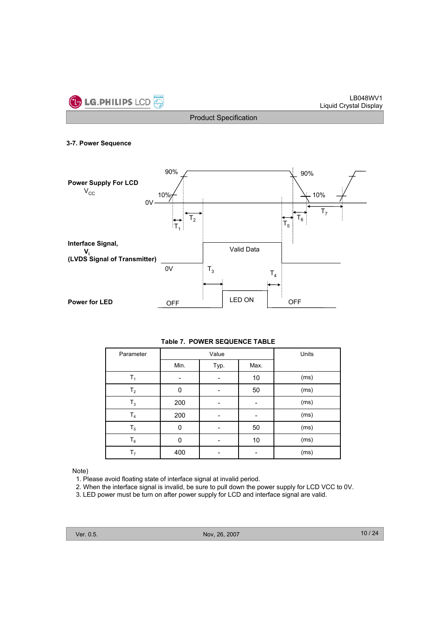

#### **3-7. Power Sequence**



| Parameter      |      | Value | Units |      |
|----------------|------|-------|-------|------|
|                | Min. | Typ.  | Max.  |      |
| $T_1$          |      |       | 10    | (ms) |
| T <sub>2</sub> | 0    |       | 50    | (ms) |
| $T_3$          | 200  |       |       | (ms) |
| $T_4$          | 200  |       |       | (ms) |
| $T_5$          | 0    |       | 50    | (ms) |
| $T_6$          | 0    | -     | 10    | (ms) |
| T <sub>7</sub> | 400  |       |       | (ms) |

## Note)

- 1. Please avoid floating state of interface signal at invalid period.
- 2. When the interface signal is invalid, be sure to pull down the power supply for LCD VCC to 0V.
- 3. LED power must be turn on after power supply for LCD and interface signal are valid.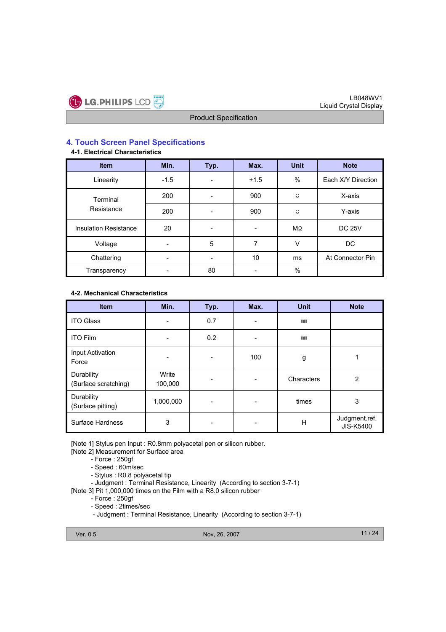

## **4. Touch Screen Panel Specifications**

## **4-1. Electrical Characteristics**

| <b>Item</b>                  | Min.   | Typ. | Max.   | <b>Unit</b> | <b>Note</b>        |
|------------------------------|--------|------|--------|-------------|--------------------|
| Linearity                    | $-1.5$ |      | $+1.5$ | $\%$        | Each X/Y Direction |
| Terminal                     | 200    |      | 900    | Ω           | X-axis             |
| Resistance                   | 200    |      | 900    | Ω.          | Y-axis             |
| <b>Insulation Resistance</b> | 20     |      |        | $M\Omega$   | <b>DC 25V</b>      |
| Voltage                      |        | 5    | 7      | V           | DC                 |
| Chattering                   |        |      | 10     | ms          | At Connector Pin   |
| Transparency                 |        | 80   |        | $\%$        |                    |

## **4-2. Mechanical Characteristics**

| <b>Item</b>                        | Min.             | Typ. | Max.                         | <b>Unit</b> | <b>Note</b>                |
|------------------------------------|------------------|------|------------------------------|-------------|----------------------------|
| <b>ITO Glass</b>                   |                  | 0.7  | ۰                            | mm          |                            |
| <b>ITO Film</b>                    |                  | 0.2  | $\qquad \qquad \blacksquare$ | mm          |                            |
| Input Activation<br>Force          |                  |      | 100                          | g           |                            |
| Durability<br>(Surface scratching) | Write<br>100,000 |      | -                            | Characters  | 2                          |
| Durability<br>(Surface pitting)    | 1,000,000        |      | ۰                            | times       | 3                          |
| <b>Surface Hardness</b>            | 3                |      | -                            | н           | Judgment.ref.<br>JIS-K5400 |

[Note 1] Stylus pen Input : R0.8mm polyacetal pen or silicon rubber.

[Note 2] Measurement for Surface area

- Force : 250gf

- Speed : 60m/sec

- Stylus : R0.8 polyacetal tip
- Judgment : Terminal Resistance, Linearity (According to section 3-7-1)

[Note 3] Pit 1,000,000 times on the Film with a R8.0 silicon rubber

- Force : 250gf

- Speed : 2times/sec

- Judgment : Terminal Resistance, Linearity (According to section 3-7-1)

Ver. 0.5. Nov, 26, 2007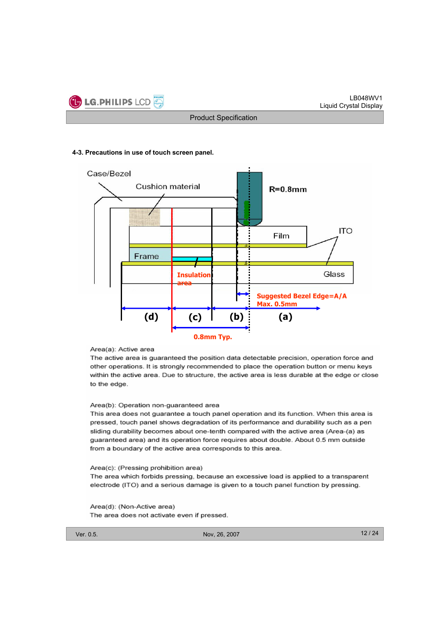

#### **4-3. Precautions in use of touch screen panel.**



#### Area(a): Active area

The active area is guaranteed the position data detectable precision, operation force and other operations. It is strongly recommended to place the operation button or menu keys within the active area. Due to structure, the active area is less durable at the edge or close to the edge.

#### Area(b): Operation non-guaranteed area

This area does not guarantee a touch panel operation and its function. When this area is pressed, touch panel shows degradation of its performance and durability such as a pen sliding durability becomes about one-tenth compared with the active area (Area-(a) as guaranteed area) and its operation force requires about double. About 0.5 mm outside from a boundary of the active area corresponds to this area.

#### Area(c): (Pressing prohibition area)

The area which forbids pressing, because an excessive load is applied to a transparent electrode (ITO) and a serious damage is given to a touch panel function by pressing.

#### Area(d): (Non-Active area)

The area does not activate even if pressed.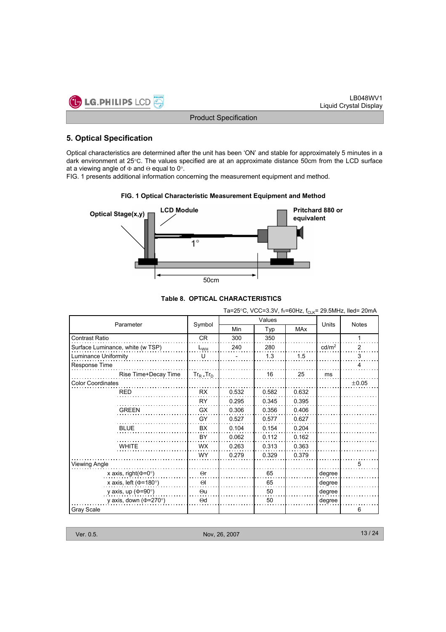

## **5. Optical Specification**

Optical characteristics are determined after the unit has been 'ON' and stable for approximately 5 minutes in a dark environment at  $25^{\circ}$ C. The values specified are at an approximate distance 50cm from the LCD surface at a viewing angle of  $\Phi$  and  $\Theta$  equal to 0°.

FIG. 1 presents additional information concerning the measurement equipment and method.

#### **FIG. 1 Optical Characteristic Measurement Equipment and Method**



## **Table 8. OPTICAL CHARACTERISTICS**

Ta=25°C, VCC=3.3V, fv=60Hz,  $f_{CLK}$ = 29.5MHz, Iled= 20mA

|                                  |                            |       | Values | Units      | <b>Notes</b>      |       |  |
|----------------------------------|----------------------------|-------|--------|------------|-------------------|-------|--|
| Parameter                        | Symbol                     | Min   | Typ    | <b>MAx</b> |                   |       |  |
| <b>Contrast Ratio</b>            | <b>CR</b>                  | 300   | 350    |            |                   | 1     |  |
| Surface Luminance, white (w TSP) | $L_{WH}$                   | 240   | 280    |            | cd/m <sup>2</sup> | 2     |  |
| Luminance Uniformity             | U                          |       | 1.3    | 1.5        |                   | 3     |  |
| Response Time                    |                            |       |        |            |                   | 4     |  |
| Rise Time+Decay Time             | $Tr_R$ <sub>+</sub> $Tr_D$ |       | 16     | 25         | ms                |       |  |
| <b>Color Coordinates</b>         |                            |       |        |            |                   | ±0.05 |  |
| <b>RED</b>                       | <b>RX</b>                  | 0.532 | 0.582  | 0.632      |                   |       |  |
|                                  | RY                         | 0.295 | 0.345  | 0.395      |                   |       |  |
| <b>GREEN</b>                     | <b>GX</b>                  | 0.306 | 0.356  | 0.406      |                   |       |  |
|                                  | GY                         | 0.527 | 0.577  | 0.627      |                   |       |  |
| <b>BLUE</b>                      | BX                         | 0.104 | 0.154  | 0.204      |                   |       |  |
|                                  | BY                         | 0.062 | 0.112  | 0.162      |                   |       |  |
| <b>WHITE</b>                     | <b>WX</b>                  | 0.263 | 0.313  | 0.363      |                   |       |  |
|                                  | WY                         | 0.279 | 0.329  | 0.379      |                   |       |  |
| Viewing Angle                    |                            |       |        |            |                   | 5     |  |
| x axis, right( $\Phi$ =0°)       | $\Theta$ r                 |       | 65     |            | degree            |       |  |
| x axis, left ( $\Phi$ =180°)     | $\Theta$                   |       | 65     |            | degree            |       |  |
| y axis, up ( $\Phi$ =90°)        | $\Theta$ u                 |       | 50     |            | degree            |       |  |
| y axis, down ( $\Phi$ =270°)     | $\Theta$ d                 |       | 50     |            | degree            |       |  |
| Gray Scale                       |                            |       |        |            |                   | 6     |  |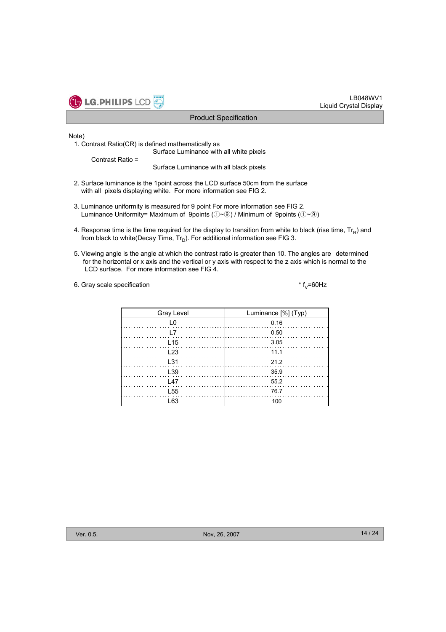

#### Note)

1. Contrast Ratio(CR) is defined mathematically as

Surface Luminance with all white pixels Contrast Ratio =

Surface Luminance with all black pixels

- 2. Surface luminance is the 1point across the LCD surface 50cm from the surface with all pixels displaying white. For more information see FIG 2.
- 3. Luminance uniformity is measured for 9 point For more information see FIG 2. Luminance Uniformity= Maximum of 9points  $(\text{O} \sim \textcircled{\text{e}})$  / Minimum of 9points  $(\text{O} \sim \textcircled{\text{e}})$
- 4. Response time is the time required for the display to transition from white to black (rise time,  $Tr_R$ ) and from black to white(Decay Time,  $Tr_D$ ). For additional information see FIG 3.
- 5. Viewing angle is the angle at which the contrast ratio is greater than 10. The angles are determined for the horizontal or x axis and the vertical or y axis with respect to the z axis which is normal to the LCD surface. For more information see FIG 4.

#### 6. Gray scale specification  $*$  f<sub>V</sub>=60Hz

| Gray Level      | Luminance [%] (Typ) |
|-----------------|---------------------|
| ıο              | 0.16                |
| I 7             | 0.50                |
| L <sub>15</sub> | 3.05                |
| L23             | 11.1                |
| L31             | 21.2                |
| L39             | 35.9                |
| 147             | 55.2                |
| L <sub>55</sub> | 76.7                |
| l 63            | 100                 |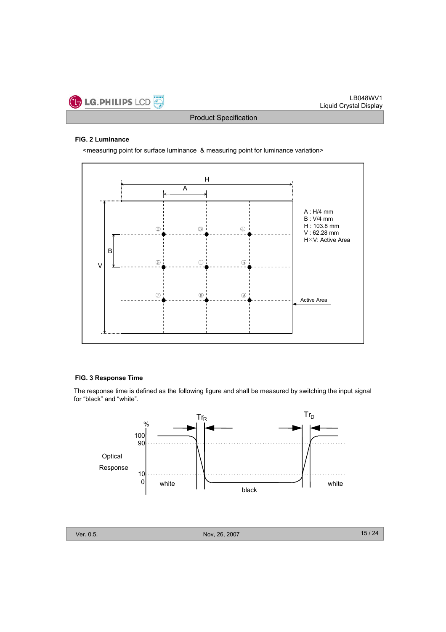

## **FIG. 2 Luminance**

<measuring point for surface luminance & measuring point for luminance variation>



### **FIG. 3 Response Time**

The response time is defined as the following figure and shall be measured by switching the input signal for "black" and "white".

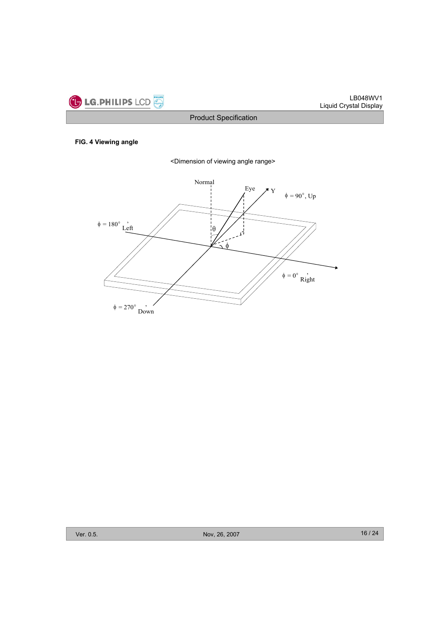

## **FIG. 4 Viewing angle**



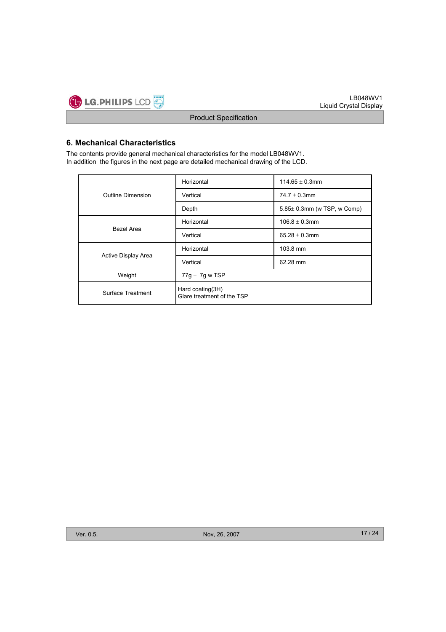

## **6. Mechanical Characteristics**

The contents provide general mechanical characteristics for the model LB048WV1. In addition the figures in the next page are detailed mechanical drawing of the LCD.

|                     | Horizontal                                     | 114.65 $\pm$ 0.3mm               |  |  |  |
|---------------------|------------------------------------------------|----------------------------------|--|--|--|
| Outline Dimension   | Vertical                                       | 74.7 $\pm$ 0.3mm                 |  |  |  |
|                     | Depth                                          | $5.85\pm 0.3$ mm (w TSP, w Comp) |  |  |  |
|                     | Horizontal                                     | $106.8 \pm 0.3$ mm               |  |  |  |
| Bezel Area          | Vertical                                       | 65.28 $\pm$ 0.3mm                |  |  |  |
|                     | Horizontal                                     | 103.8 mm                         |  |  |  |
| Active Display Area | Vertical                                       | 62.28 mm                         |  |  |  |
| Weight              | 77g $\pm$ 7g w TSP                             |                                  |  |  |  |
| Surface Treatment   | Hard coating(3H)<br>Glare treatment of the TSP |                                  |  |  |  |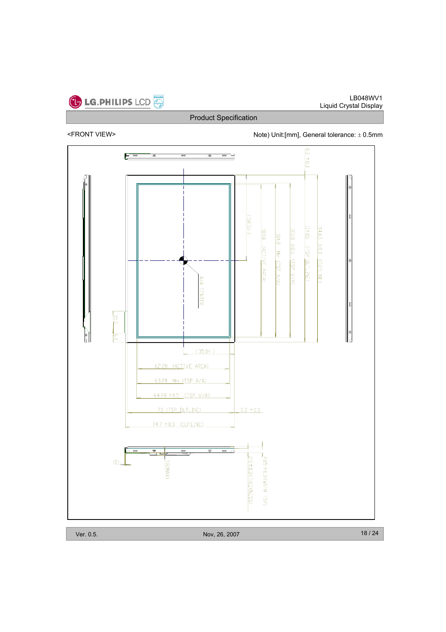

<FRONT VIEW> Note) Unit:[mm], General tolerance:  $\pm$  0.5mm

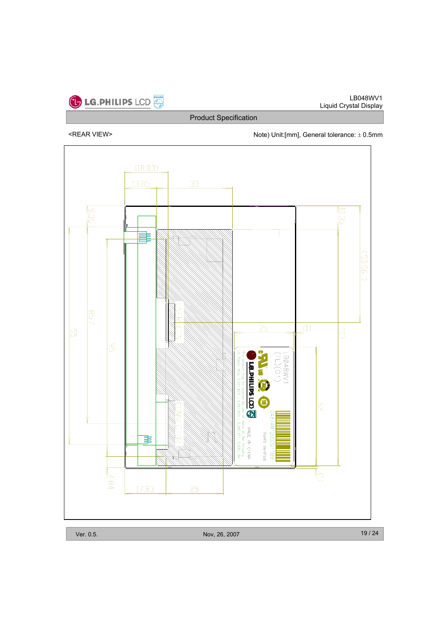

<REAR VIEW>  $\blacksquare$  Note) Unit:[mm], General tolerance:  $\pm$  0.5mm

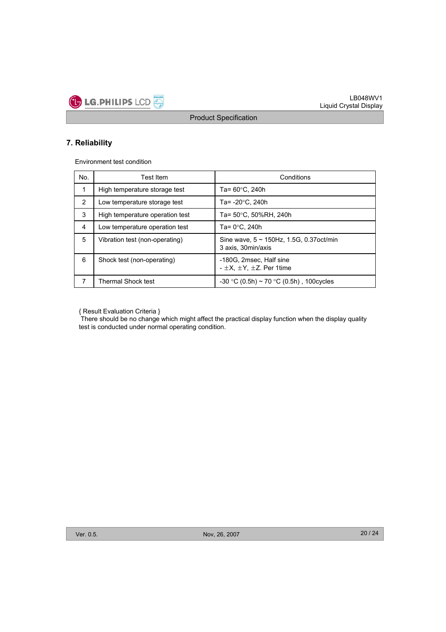

## **7. Reliability**

Environment test condition

| No.            | Test Item                       | Conditions                                                            |
|----------------|---------------------------------|-----------------------------------------------------------------------|
| 1              | High temperature storage test   | Ta= 60°C, 240h                                                        |
| $\overline{2}$ | Low temperature storage test    | Ta= -20°C, 240h                                                       |
| 3              | High temperature operation test | Ta= 50°C, 50%RH, 240h                                                 |
| 4              | Low temperature operation test  | Ta= 0°C. 240h                                                         |
| 5              | Vibration test (non-operating)  | Sine wave, $5 \sim 150$ Hz, 1.5G, 0.37 oct/min<br>3 axis, 30 min/axis |
| 6              | Shock test (non-operating)      | -180G, 2msec, Half sine<br>$- \pm X$ . $\pm Y$ . $\pm Z$ . Per 1time  |
| $\overline{7}$ | <b>Thermal Shock test</b>       | $-30$ °C (0.5h) ~ 70 °C (0.5h), 100 cycles                            |

{ Result Evaluation Criteria }

There should be no change which might affect the practical display function when the display quality test is conducted under normal operating condition.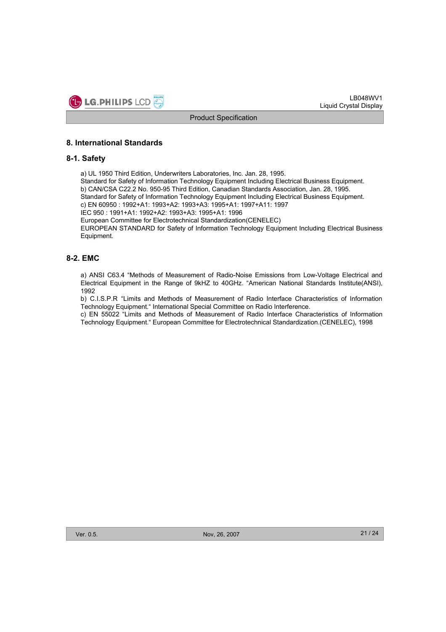

## **8. International Standards**

## **8-1. Safety**

a) UL 1950 Third Edition, Underwriters Laboratories, Inc. Jan. 28, 1995. Standard for Safety of Information Technology Equipment Including Electrical Business Equipment. b) CAN/CSA C22.2 No. 950-95 Third Edition, Canadian Standards Association, Jan. 28, 1995. Standard for Safety of Information Technology Equipment Including Electrical Business Equipment. c) EN 60950 : 1992+A1: 1993+A2: 1993+A3: 1995+A1: 1997+A11: 1997 IEC 950 : 1991+A1: 1992+A2: 1993+A3: 1995+A1: 1996 European Committee for Electrotechnical Standardization(CENELEC) EUROPEAN STANDARD for Safety of Information Technology Equipment Including Electrical Business Equipment.

## **8-2. EMC**

a) ANSI C63.4 "Methods of Measurement of Radio-Noise Emissions from Low-Voltage Electrical and Electrical Equipment in the Range of 9kHZ to 40GHz. "American National Standards Institute(ANSI), 1992

b) C.I.S.P.R "Limits and Methods of Measurement of Radio Interface Characteristics of Information Technology Equipment." International Special Committee on Radio Interference.

c) EN 55022 "Limits and Methods of Measurement of Radio Interface Characteristics of Information Technology Equipment." European Committee for Electrotechnical Standardization.(CENELEC), 1998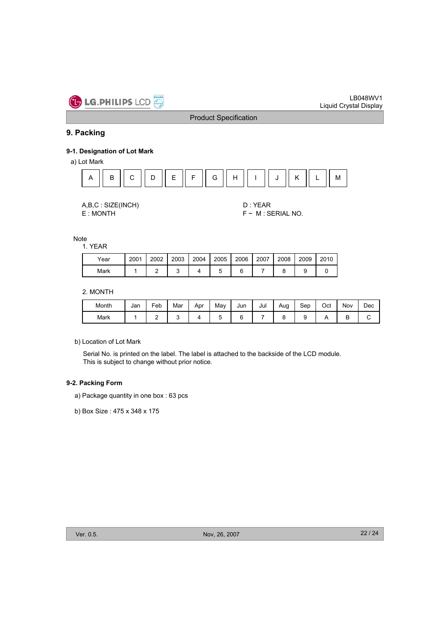

## **9. Packing**

#### **9-1. Designation of Lot Mark**

a) Lot Mark



| A,B,C: SIZE(INCH) |
|-------------------|
|                   |

D : YEAR E : MONTH F ~ M : SERIAL NO.

Note

1. YEAR

| Year | 2001 | 2002 | 2003 | 2004 | 2005 | 2006 | 2007 | 2008 | 2009 | 2010 |
|------|------|------|------|------|------|------|------|------|------|------|
| Mark |      |      |      |      |      |      |      |      |      |      |

2. MONTH

| Month | Jan | Feb | Mar | Apr | Mav | Jun | Jul | Aug | Sep | Oct | Nov | Dec |
|-------|-----|-----|-----|-----|-----|-----|-----|-----|-----|-----|-----|-----|
| Mark  |     |     |     |     |     |     |     |     |     |     | ◡   |     |

b) Location of Lot Mark

Serial No. is printed on the label. The label is attached to the backside of the LCD module. This is subject to change without prior notice.

#### **9-2. Packing Form**

a) Package quantity in one box : 63 pcs

b) Box Size : 475 x 348 x 175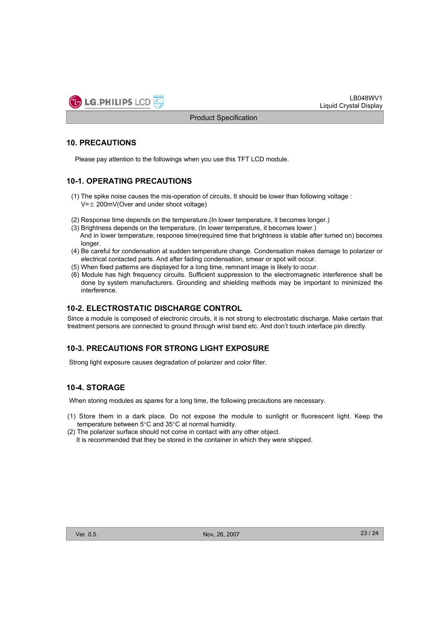

## **10. PRECAUTIONS**

Please pay attention to the followings when you use this TFT LCD module.

## **10-1. OPERATING PRECAUTIONS**

- (1) The spike noise causes the mis-operation of circuits. It should be lower than following voltage :  $V=\pm 200$ mV(Over and under shoot voltage)
- (2) Response time depends on the temperature.(In lower temperature, it becomes longer.)
- (3) Brightness depends on the temperature. (In lower temperature, it becomes lower.) And in lower temperature, response time(required time that brightness is stable after turned on) becomes longer.
- (4) Be careful for condensation at sudden temperature change. Condensation makes damage to polarizer or electrical contacted parts. And after fading condensation, smear or spot will occur.
- (5) When fixed patterns are displayed for a long time, remnant image is likely to occur.
- (6) Module has high frequency circuits. Sufficient suppression to the electromagnetic interference shall be done by system manufacturers. Grounding and shielding methods may be important to minimized the interference.

## **10-2. ELECTROSTATIC DISCHARGE CONTROL**

Since a module is composed of electronic circuits, it is not strong to electrostatic discharge. Make certain that treatment persons are connected to ground through wrist band etc. And don't touch interface pin directly.

## **10-3. PRECAUTIONS FOR STRONG LIGHT EXPOSURE**

Strong light exposure causes degradation of polarizer and color filter.

## **10-4. STORAGE**

When storing modules as spares for a long time, the following precautions are necessary.

- (1) Store them in a dark place. Do not expose the module to sunlight or fluorescent light. Keep the temperature between  $5^{\circ}$ C and  $35^{\circ}$ C at normal humidity.
- (2) The polarizer surface should not come in contact with any other object. It is recommended that they be stored in the container in which they were shipped.